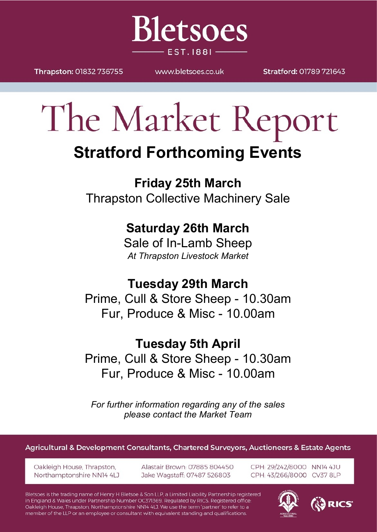

Thrapston: 01832 736755

WWW.bletsoes.co.uk

Stratford: 01789 721643

# The Market Report

## **Stratford Forthcoming Events**

**Friday 25th March** Thrapston Collective Machinery Sale

### **Saturday 26th March**

Sale of In-Lamb Sheep *At Thrapston Livestock Market*

**Tuesday 29th March** Prime, Cull & Store Sheep - 10.30am

Fur, Produce & Misc - 10.00am

### **Tuesday 5th April**

Prime, Cull & Store Sheep - 10.30am Fur, Produce & Misc - 10.00am

*For further information regarding any of the sales please contact the Market Team*

Agricultural & Development Consultants, Chartered Surveyors, Auctioneers & Estate Agents

Oakleigh House, Thrapston, Northamptonshire NN14 4LJ Alastair Brown: 07885 804450 Jake Wagstaff: 07487 526803

CPH: 29/242/8000 NN14 4JU CPH: 43/266/8000 CV37 8LP

Bletsoes is the trading name of Henry H Bletsoe & Son LLP, a Limited Liability Partnership registered in England & Wales under Partnership Number OC371369. Regulated by RICS. Registered office: Oakleigh House, Thrapston, Northamptonshire NN14 4LJ. We use the term 'partner' to refer to a member of the LLP or an employee or consultant with equivalent standing and qualifications.



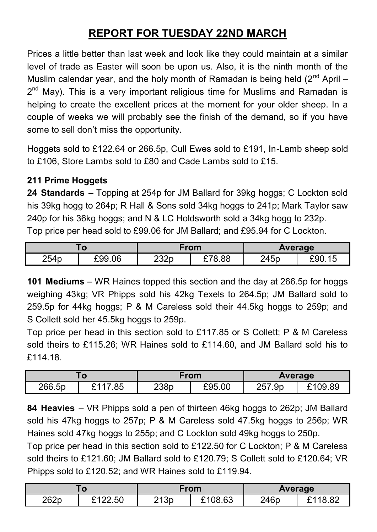#### **REPORT FOR TUESDAY 22ND MARCH**

Prices a little better than last week and look like they could maintain at a similar level of trade as Easter will soon be upon us. Also, it is the ninth month of the Muslim calendar year, and the holy month of Ramadan is being held  $(2^{nd}$  April – 2<sup>nd</sup> May). This is a very important religious time for Muslims and Ramadan is helping to create the excellent prices at the moment for your older sheep. In a couple of weeks we will probably see the finish of the demand, so if you have some to sell don't miss the opportunity.

Hoggets sold to £122.64 or 266.5p, Cull Ewes sold to £191, In-Lamb sheep sold to £106, Store Lambs sold to £80 and Cade Lambs sold to £15.

#### **211 Prime Hoggets**

**24 Standards** – Topping at 254p for JM Ballard for 39kg hoggs; C Lockton sold his 39kg hogg to 264p; R Hall & Sons sold 34kg hoggs to 241p; Mark Taylor saw 240p for his 36kg hoggs; and N & LC Holdsworth sold a 34kg hogg to 232p. Top price per head sold to £99.06 for JM Ballard; and £95.94 for C Lockton.

| $\mathbf 0$ |        | From |        | Average |        |
|-------------|--------|------|--------|---------|--------|
| 254p        | £99.06 | 232p | £78.88 | 245p    | £90.15 |

**101 Mediums** – WR Haines topped this section and the day at 266.5p for hoggs weighing 43kg; VR Phipps sold his 42kg Texels to 264.5p; JM Ballard sold to 259.5p for 44kg hoggs; P & M Careless sold their 44.5kg hoggs to 259p; and S Collett sold her 45.5kg hoggs to 259p.

Top price per head in this section sold to £117.85 or S Collett; P & M Careless sold theirs to £115.26; WR Haines sold to £114.60, and JM Ballard sold his to £114.18.

|        |                     | From |        | Average       |        |
|--------|---------------------|------|--------|---------------|--------|
| 266.5p | .85<br><b>C</b> 4 4 | 238p | £95.00 | つらつ<br>257.9p | 109.89 |

**84 Heavies** – VR Phipps sold a pen of thirteen 46kg hoggs to 262p; JM Ballard sold his 47kg hoggs to 257p; P & M Careless sold 47.5kg hoggs to 256p; WR Haines sold 47kg hoggs to 255p; and C Lockton sold 49kg hoggs to 250p.

Top price per head in this section sold to £122.50 for C Lockton; P & M Careless sold theirs to £121.60; JM Ballard sold to £120.79; S Collett sold to £120.64; VR Phipps sold to £120.52; and WR Haines sold to £119.94.

| 1 U  |         | ∙rom |         | Average |  |
|------|---------|------|---------|---------|--|
| 262p | £122.50 | 213p | £108.63 | 246p    |  |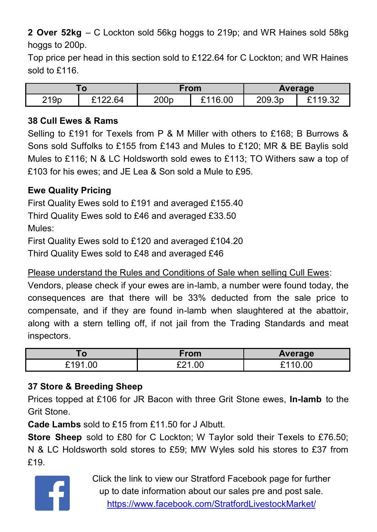**2 Over 52kg** – C Lockton sold 56kg hoggs to 219p; and WR Haines sold 58kg hoggs to 200p.

Top price per head in this section sold to £122.64 for C Lockton; and WR Haines sold to £116.

| $\overline{0}$ |         | From             |         | Average |         |
|----------------|---------|------------------|---------|---------|---------|
| 219p           | F122 R4 | 200 <sub>p</sub> | 116.00؟ | 209.3p  | £119.32 |

#### **38 Cull Ewes & Rams**

Selling to £191 for Texels from P & M Miller with others to £168; B Burrows & Sons sold Suffolks to £155 from £143 and Mules to £120; MR & BE Baylis sold Mules to £116; N & LC Holdsworth sold ewes to £113; TO Withers saw a top of £103 for his ewes; and JE Lea & Son sold a Mule to £95.

#### **Ewe Quality Pricing**

First Quality Ewes sold to £191 and averaged £155.40

Third Quality Ewes sold to £46 and averaged £33.50

Mules:

First Quality Ewes sold to £120 and averaged £104.20

Third Quality Ewes sold to £48 and averaged £46

Please understand the Rules and Conditions of Sale when selling Cull Ewes:

Vendors, please check if your ewes are in-lamb, a number were found today, the consequences are that there will be 33% deducted from the sale price to compensate, and if they are found in-lamb when slaughtered at the abattoir, along with a stern telling off, if not jail from the Trading Standards and meat inspectors.

| 70 V                        | From       | Average      |
|-----------------------------|------------|--------------|
| .00<br>$^{\circ}191$ .<br>- | .00<br>ດດ⊿ | 0.11<br>0.00 |

#### **37 Store & Breeding Sheep**

Prices topped at £106 for JR Bacon with three Grit Stone ewes, **In-lamb** to the Grit Stone.

**Cade Lambs** sold to £15 from £11.50 for J Albutt.

**Store Sheep** sold to £80 for C Lockton; W Taylor sold their Texels to £76.50; N & LC Holdsworth sold stores to £59; MW Wyles sold his stores to £37 from £19.



Click the link to view our Stratford Facebook page for further up to date information about our sales pre and post sale. <https://www.facebook.com/StratfordLivestockMarket/>